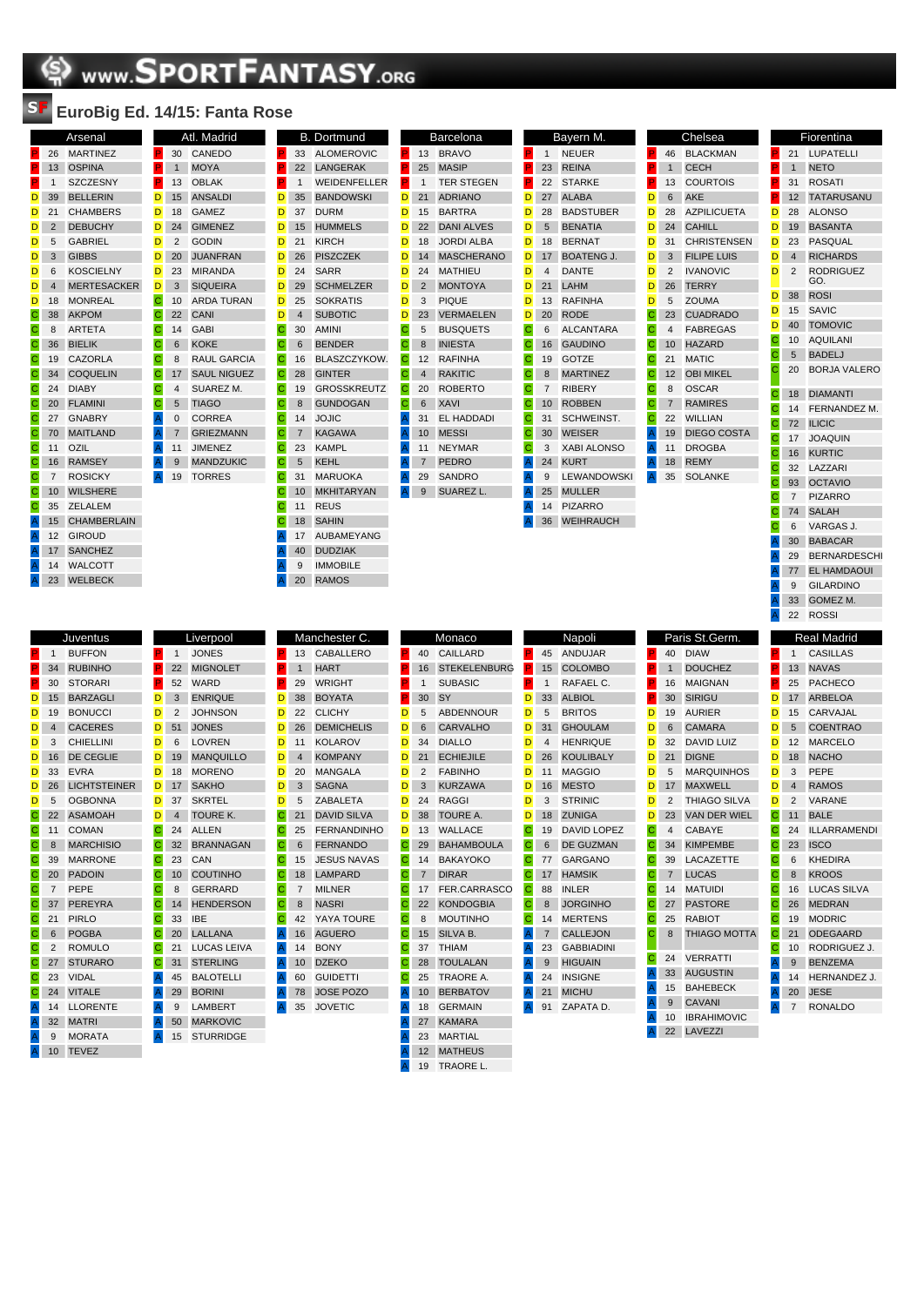## **SPORTFANTASY.org**

## **EuroBig Ed. 14/15: Fanta Rose**

30  $\overline{P}$  1

 $\overline{D}$  18  $D 24$  $\overline{D}$  2  $D 20$ 

 $C$  10  $\overline{C}$  22  $C$  14  $C$  6 C 8<br>C 17  $\begin{array}{|c|c|} \hline \textbf{C} & 17 \\ \hline \textbf{C} & 4 \\ \hline \end{array}$  $-4$  $C$  5

 $\overline{A}$  11

|                |                | Arsenal            |
|----------------|----------------|--------------------|
| P.             | 26             | <b>MARTINEZ</b>    |
| P.             | 13             | <b>OSPINA</b>      |
| P              | 1              | <b>SZCZESNY</b>    |
| D              | 39             | <b>BELLERIN</b>    |
| D              | 21             | <b>CHAMBERS</b>    |
| D              | $\overline{2}$ | <b>DEBUCHY</b>     |
| D              | 5              | <b>GABRIEL</b>     |
| D              | 3              | <b>GIBBS</b>       |
| D              | 6              | <b>KOSCIELNY</b>   |
| D              | $\overline{4}$ | <b>MERTESACKER</b> |
| D              | 18             | <b>MONREAL</b>     |
| C              | 38             | <b>AKPOM</b>       |
| С              | 8              | <b>ARTETA</b>      |
| $\mathbf C$    | 36             | <b>BIELIK</b>      |
| C              | 19             | CAZORLA            |
| $\mathbf C$    | 34             | <b>COQUELIN</b>    |
| $\mathbf C$    | 24             | <b>DIABY</b>       |
| С              | 20             | <b>FLAMINI</b>     |
| $\mathbf C$    | 27             | <b>GNABRY</b>      |
| C              | 70             | <b>MAITLAND</b>    |
| $\mathbf C$    | 11             | OZIL               |
| $\mathbf C$    | 16             | <b>RAMSEY</b>      |
| С              | 7              | <b>ROSICKY</b>     |
| $\mathbf C$    | 10             | <b>WILSHERE</b>    |
| С              | 35             | ZELALEM            |
| $\mathsf{A}$   | 15             | <b>CHAMBERLAIN</b> |
| $\overline{A}$ | 12             | <b>GIROUD</b>      |
| $\mathsf{A}$   | 17             | <b>SANCHEZ</b>     |
| $\overline{A}$ | 14             | <b>WALCOTT</b>     |
| $\overline{A}$ | 23             | WELBECK            |

|                       | 147 I J.       | $ra$ illa NUSC     |                                                                       |                |                    |
|-----------------------|----------------|--------------------|-----------------------------------------------------------------------|----------------|--------------------|
|                       |                | Atl. Madrid        |                                                                       |                | <b>B.</b> Dortmu   |
| P                     | 30             | CANEDO             | P                                                                     | 33             | <b>ALOMEI</b>      |
| P                     | $\mathbf{1}$   | <b>MOYA</b>        | è                                                                     | 22             | LANGEF             |
| P                     | 13             | <b>OBLAK</b>       | P.                                                                    | $\mathbf{1}$   | <b>WEIDEN</b>      |
| D                     | 15             | <b>ANSALDI</b>     | D                                                                     | 35             | <b>BANDO</b>       |
| D                     | 18             | <b>GAMEZ</b>       | D                                                                     | 37             | <b>DURM</b>        |
| D                     | 24             | <b>GIMENEZ</b>     | D                                                                     | 15             | <b>HUMME</b>       |
| D                     | $\overline{2}$ | <b>GODIN</b>       | D                                                                     | 21             | <b>KIRCH</b>       |
| D                     | 20             | <b>JUANFRAN</b>    | D                                                                     | 26             | <b>PISZCZI</b>     |
| D                     | 23             | <b>MIRANDA</b>     | D                                                                     | 24             | <b>SARR</b>        |
| D                     | 3              | <b>SIQUEIRA</b>    | D                                                                     | 29             | <b>SCHME</b>       |
| C                     | 10             | <b>ARDA TURAN</b>  | D                                                                     | 25             | SOKRA <sup>-</sup> |
| C                     | 22             | CANI               | D                                                                     | $\overline{4}$ | <b>SUBOTI</b>      |
| C                     | 14             | <b>GABI</b>        | C.                                                                    | 30             | <b>AMINI</b>       |
| C                     | 6              | <b>KOKE</b>        | $\mathbf C$                                                           | 6              | <b>BENDER</b>      |
| C                     | 8              | <b>RAUL GARCIA</b> | С                                                                     | 16             | <b>BLASZC</b>      |
| Ċ                     | 17             | <b>SAUL NIGUEZ</b> | $\mathbf C$                                                           | 28             | <b>GINTER</b>      |
| C                     | $\overline{4}$ | <b>SUAREZ M.</b>   | $\mathbf C$                                                           | 19             | <b>GROSS</b>       |
| C                     | 5              | <b>TIAGO</b>       | C                                                                     | 8              | <b>GUNDO</b>       |
|                       | 0              | <b>CORREA</b>      | $\mathbf C$                                                           | 14             | <b>JOJIC</b>       |
| A<br>A<br>A<br>A<br>A | $\overline{7}$ | <b>GRIEZMANN</b>   | C                                                                     | $\overline{7}$ | <b>KAGAW</b>       |
|                       | 11             | <b>JIMENEZ</b>     | С                                                                     | 23             | <b>KAMPL</b>       |
|                       | 9              | <b>MANDZUKIC</b>   | $\mathsf{C}$                                                          | 5              | <b>KEHL</b>        |
|                       | 19             | <b>TORRES</b>      | C                                                                     | 31             | <b>MARUO</b>       |
|                       |                |                    | C                                                                     | 10             | <b>MKHITA</b>      |
|                       |                |                    | $\mathbf C$                                                           | 11             | <b>REUS</b>        |
|                       |                |                    | $\mathbf C$                                                           | 18             | <b>SAHIN</b>       |
|                       |                |                    | $\mathsf{A}% _{\mathsf{A}}^{\prime}=\mathsf{A}_{\mathsf{A}}^{\prime}$ | 17             | <b>AUBAM</b>       |
|                       |                |                    | $\mathsf{A}$                                                          | 40             | <b>DUDZIA</b>      |
|                       |                |                    | A                                                                     | 9              | <b>IMMOBI</b>      |
|                       |                |                    | $\overline{A}$                                                        | 20             | <b>RAMOS</b>       |

|    | B. | Dortmund            |                         |
|----|----|---------------------|-------------------------|
| Ë. | 33 | <b>ALOMEROVIC</b>   | P                       |
| P. | 22 | <b>LANGERAK</b>     | P                       |
| P  | 1  | WEIDENFELLER        | P                       |
| D  | 35 | <b>BANDOWSKI</b>    | D                       |
| D  | 37 | DURM                | D                       |
| D  | 15 | <b>HUMMELS</b>      | D                       |
| D  | 21 | <b>KIRCH</b>        | D                       |
| D  | 26 | <b>PISZCZEK</b>     | D                       |
| D  | 24 | SARR                | n                       |
| D  | 29 | <b>SCHMELZER</b>    | D                       |
| Ď  | 25 | SOKRATIS            | D                       |
| D  | 4  | SUBOTIC             | D                       |
| Ċ  | 30 | <b>AMINI</b>        | C                       |
| С  | 6  | <b>BENDER</b>       | С                       |
| С  | 16 | <b>BLASZCZYKOW.</b> | С                       |
| C  | 28 | <b>GINTER</b>       | C                       |
| C  | 19 | <b>GROSSKREUTZ</b>  | С                       |
| С  | 8  | <b>GUNDOGAN</b>     | С                       |
| С  | 14 | JOJIC               | Ä                       |
| C  | 7  | <b>KAGAWA</b>       | $\overline{\mathsf{A}}$ |
| С  | 23 | <b>KAMPL</b>        | A                       |
| C  | 5  | <b>KEHL</b>         | A                       |
| С  | 31 | <b>MARUOKA</b>      | A                       |
| С  | 10 | MKHITARYAN          | A                       |
| C  | 11 | <b>REUS</b>         |                         |
| С  | 18 | <b>SAHIN</b>        |                         |
| A  | 17 | AUBAMEYANG          |                         |
| Ä  | 40 | <b>DUDZIAK</b>      |                         |
| A  | 9  | IMMOBILE            |                         |
|    |    |                     |                         |

|                                              |                | Barcelona         |   |  |
|----------------------------------------------|----------------|-------------------|---|--|
| P                                            | 13             | <b>BRAVO</b>      | P |  |
| P                                            | 25             | <b>MASIP</b>      | P |  |
| P                                            | $\mathbf{1}$   | <b>TER STEGEN</b> | P |  |
| D                                            | 21             | <b>ADRIANO</b>    | D |  |
| D                                            | 15             | <b>BARTRA</b>     | D |  |
| D                                            | 22             | <b>DANI ALVES</b> | D |  |
| D                                            | 18             | <b>JORDI ALBA</b> | D |  |
| D                                            | 14             | <b>MASCHERANO</b> | D |  |
| D                                            | 24             | <b>MATHIEU</b>    | D |  |
| D                                            | $\overline{2}$ | <b>MONTOYA</b>    | D |  |
| D                                            | 3              | PIQUE             | D |  |
| D                                            | 23             | <b>VERMAELEN</b>  | D |  |
| C                                            | 5              | <b>BUSQUETS</b>   | Ċ |  |
| C                                            | 8              | <b>INIESTA</b>    | C |  |
| С                                            | 12             | <b>RAFINHA</b>    | C |  |
| C                                            | $\overline{4}$ | <b>RAKITIC</b>    | C |  |
| C                                            | 20             | <b>ROBERTO</b>    | C |  |
| C                                            | 6              | <b>XAVI</b>       | C |  |
| A                                            | 31             | <b>EL HADDADI</b> | C |  |
| $\overline{A}$ $\overline{A}$ $\overline{A}$ | 10             | <b>MESSI</b>      | C |  |
|                                              | 11             | <b>NEYMAR</b>     | C |  |
|                                              | $\overline{7}$ | <b>PEDRO</b>      | A |  |
|                                              | 29             | <b>SANDRO</b>     | A |  |
| Ă                                            | 9              | SUAREZ L.         | A |  |
|                                              |                |                   | A |  |
|                                              |                |                   | A |  |

|                                                                       |                | bayern w.          |   |                |
|-----------------------------------------------------------------------|----------------|--------------------|---|----------------|
| P                                                                     | 1              | <b>NEUER</b>       | P | $\overline{4}$ |
| P                                                                     | 23             | <b>REINA</b>       | P | 1              |
| P                                                                     | 22             | <b>STARKE</b>      | P | 1              |
| D                                                                     | 27             | <b>ALABA</b>       | D | $\epsilon$     |
| D                                                                     | 28             | <b>BADSTUBER</b>   | D | 2 <sub>i</sub> |
| D                                                                     | 5              | <b>BENATIA</b>     | D | 2 <sub>0</sub> |
| D                                                                     | 18             | <b>BERNAT</b>      | D | 3              |
| D                                                                     | 17             | <b>BOATENG J.</b>  | D | G              |
| D                                                                     | $\overline{4}$ | <b>DANTE</b>       | D | 2              |
| D                                                                     | 21             | LAHM               | D | 2 <sub>0</sub> |
| D                                                                     | 13             | <b>RAFINHA</b>     | D | 5              |
| D                                                                     | 20             | <b>RODE</b>        | С | 2              |
| Ċ                                                                     | 6              | <b>ALCANTARA</b>   | С | 4              |
| C                                                                     | 16             | <b>GAUDINO</b>     | C | 1 <sub>1</sub> |
| C                                                                     | 19             | <b>GOTZE</b>       | C | $\overline{2}$ |
| C                                                                     | 8              | <b>MARTINEZ</b>    | C | 1              |
| C                                                                     | 7              | <b>RIBERY</b>      | C | ε              |
| $\overline{\mathbf{C}}$                                               | 10             | <b>ROBBEN</b>      | C | $\overline{7}$ |
| Ċ                                                                     | 31             | <b>SCHWEINST.</b>  | C | $2^{\circ}$    |
| C                                                                     | 30             | <b>WEISER</b>      | A | 1              |
| Ċ                                                                     | 3              | <b>XABI ALONSO</b> | A | $\mathbf{1}$   |
| Â                                                                     | 24             | <b>KURT</b>        | A | 1 <sup>i</sup> |
| A                                                                     | 9              | <b>LEWANDOWSKI</b> | A | 3 <sup>5</sup> |
| A                                                                     | 25             | <b>MULLER</b>      |   |                |
| $\mathsf{A}% _{\mathsf{A}}^{\prime}=\mathsf{A}_{\mathsf{A}}^{\prime}$ | 14             | <b>PIZARRO</b>     |   |                |
| $\mathsf{A}$                                                          | 36             | <b>WEIHRAUCH</b>   |   |                |
|                                                                       |                |                    |   |                |

Bayern M.

|                |                | Chelsea            |
|----------------|----------------|--------------------|
| P              | 46             | <b>BLACKMAN</b>    |
| P              | $\mathbf{1}$   | <b>CECH</b>        |
| P.             | 13             | <b>COURTOIS</b>    |
| D              | 6              | <b>AKE</b>         |
| D              | 28             | <b>AZPILICUETA</b> |
| D              | 24             | CAHILL             |
| D              | 31             | <b>CHRISTENSEN</b> |
| D              | 3              | <b>FILIPE LUIS</b> |
| D              | $\overline{2}$ | <b>IVANOVIC</b>    |
| D              | 26             | <b>TERRY</b>       |
| D              | -5             | <b>ZOUMA</b>       |
| $\mathbf C$    | 23             | <b>CUADRADO</b>    |
| C              | $\overline{4}$ | <b>FABREGAS</b>    |
|                | $C$ 10         | <b>HAZARD</b>      |
| $\mathbf C$    | 21             | <b>MATIC</b>       |
| С              | 12             | <b>OBI MIKEL</b>   |
| C              | -8             | OSCAR              |
| C              | $\overline{7}$ | <b>RAMIRES</b>     |
| С              | 22             | <b>WILLIAN</b>     |
| $\mathsf{A}$   | 19             | <b>DIEGO COSTA</b> |
| $\overline{A}$ | 11             | <b>DROGBA</b>      |
| $\overline{A}$ | 18             | <b>REMY</b>        |
| $\overline{A}$ | 35             | SOLANKE            |
|                |                |                    |

| P.                  | 21             | LUPATELLI                          |
|---------------------|----------------|------------------------------------|
| P                   | 1              | <b>NETO</b>                        |
| P.                  | 31             | <b>ROSATI</b>                      |
| P                   | 12             | <b>TATARUSANU</b>                  |
| D                   | 28             | <b>ALONSO</b>                      |
| D                   | 19             | <b>BASANTA</b>                     |
| D                   | 23             | <b>PASQUAL</b>                     |
| D                   | 4              | <b>RICHARDS</b>                    |
| D                   | $\overline{2}$ | <b>RODRIGUEZ</b>                   |
|                     |                | GO.                                |
| D                   | 38             | <b>ROSI</b>                        |
| D                   | 15             | SAVIC                              |
| D                   | 40             | <b>TOMOVIC</b>                     |
| C                   | 10             | <b>AQUILANI</b>                    |
| С                   | 5              | <b>BADELJ</b>                      |
| Ċ                   | 20             | <b>BORJA VALERO</b>                |
| С                   | 18             | <b>DIAMANTI</b>                    |
| С                   | 14             | FERNANDEZ M.                       |
| C                   | 72             | <b>ILICIC</b>                      |
| С                   | 17             | <b>JOAQUIN</b>                     |
| С                   | 16             | <b>KURTIC</b>                      |
| C                   | 32             | LAZZARI                            |
| С                   | 93             | <b>OCTAVIO</b>                     |
| С                   | $\overline{7}$ | <b>PIZARRO</b>                     |
| С                   | 74             | <b>SALAH</b>                       |
| С                   | 6              | VARGAS J.                          |
| A                   | 30             | <b>BABACAR</b>                     |
| A                   | 29             | <b>BERNARDESCHI</b>                |
| Ä                   | 77             | EL HAMDAOUI                        |
| Α                   | 9              | <b>GILARDINO</b>                   |
|                     |                |                                    |
|                     |                |                                    |
| $\overline{A}$<br>A | 33<br>22       | GOMEZ M.<br><b>ROSSI</b>           |
|                     |                |                                    |
|                     |                | <b>Real Madrid</b>                 |
| P                   | 1              | <b>CASILLAS</b>                    |
| P                   | 13             | <b>NAVAS</b>                       |
| P                   | 25             | <b>PACHECO</b>                     |
| D                   | 17             | <b>ARBELOA</b>                     |
| D                   | 15             | CARVAJAL                           |
| D                   | 5              | <b>COENTRAO</b>                    |
| D                   | 12             | <b>MARCELO</b>                     |
| D                   | 18             | <b>NACHO</b>                       |
| D                   | 3              | PEPE                               |
| D<br>D              | 4              | <b>RAMOS</b>                       |
|                     | 2              | VARANE                             |
| С                   | 11<br>24       | <b>BALE</b><br><b>ILLARRAMENDI</b> |
| С<br>C              |                | <b>ISCO</b>                        |
| Į.                  | 23<br>6        | <b>KHEDIRA</b>                     |
| $\mathbf C$<br>C    | 8              | <b>KROOS</b>                       |
| С                   | 16             | LUCAS SILVA                        |
| С                   | 26             | <b>MEDRAN</b>                      |
| Ċ                   | 19             | <b>MODRIC</b>                      |
| C                   | 21             | <b>ODEGAARD</b>                    |
| С                   | 10             | RODRIGUEZ J.                       |
| A                   | $9\,$          | <b>BENZEMA</b>                     |
|                     | 14             | HERNANDEZ J.                       |
| Α                   | 20             | <b>JESE</b>                        |
|                     | $\overline{7}$ | <b>RONALDO</b>                     |

**Fiorentina** 

|                |                     |          |                | Liverp                                                                                                                                                              |
|----------------|---------------------|----------|----------------|---------------------------------------------------------------------------------------------------------------------------------------------------------------------|
| 1              | <b>BUFFON</b>       |          | 1              | <b>JONE</b>                                                                                                                                                         |
| 34             | <b>RUBINHO</b>      |          | 22             | <b>MIGN</b>                                                                                                                                                         |
| 30             | <b>STORARI</b>      |          | 52             | WARI                                                                                                                                                                |
| 15             | <b>BARZAGLI</b>     |          | 3              | <b>ENRK</b>                                                                                                                                                         |
| 19             | <b>BONUCCI</b>      |          | $\overline{2}$ | <b>JOHN</b>                                                                                                                                                         |
| $\overline{4}$ | <b>CACERES</b>      |          | 51             | <b>JONE</b>                                                                                                                                                         |
| 3              | <b>CHIELLINI</b>    |          | 6              | LOVR                                                                                                                                                                |
| 16             | <b>DE CEGLIE</b>    |          | 19             | <b>MANO</b>                                                                                                                                                         |
| 33             | <b>EVRA</b>         |          | 18             | <b>MORI</b>                                                                                                                                                         |
| 26             | <b>LICHTSTEINER</b> |          | 17             | <b>SAKH</b>                                                                                                                                                         |
| 5              | <b>OGBONNA</b>      |          | 37             | <b>SKRT</b>                                                                                                                                                         |
| 22             | <b>ASAMOAH</b>      |          | $\overline{4}$ | <b>TOUF</b>                                                                                                                                                         |
| 11             | <b>COMAN</b>        |          | 24             | <b>ALLEI</b>                                                                                                                                                        |
| 8              | <b>MARCHISIO</b>    |          | 32             | <b>BRAN</b>                                                                                                                                                         |
| 39             | <b>MARRONE</b>      |          | 23             | CAN                                                                                                                                                                 |
| 20             | <b>PADOIN</b>       |          | 10             | <b>COUT</b>                                                                                                                                                         |
| $\overline{7}$ | PEPE                |          | 8              | <b>GERF</b>                                                                                                                                                         |
| 37             | <b>PEREYRA</b>      |          | 14             | <b>HEND</b>                                                                                                                                                         |
| 21             | <b>PIRLO</b>        |          | 33             | <b>IBE</b>                                                                                                                                                          |
| 6              | <b>POGBA</b>        |          | 20             | LALL/                                                                                                                                                               |
| 2              | <b>ROMULO</b>       |          | 21             | <b>LUCA</b>                                                                                                                                                         |
| 27             | <b>STURARO</b>      |          | 31             | <b>STER</b>                                                                                                                                                         |
| 23             | <b>VIDAL</b>        |          | 45             | <b>BALO</b>                                                                                                                                                         |
| 24             | <b>VITALE</b>       |          | 29             | <b>BORII</b>                                                                                                                                                        |
| 14             | <b>LLORENTE</b>     |          | 9              | LAMB                                                                                                                                                                |
| 32             | <b>MATRI</b>        |          | 50             | <b>MARK</b>                                                                                                                                                         |
| 9              | <b>MORATA</b>       |          | 15             | <b>STUR</b>                                                                                                                                                         |
| 10             | <b>TEVEZ</b>        |          |                |                                                                                                                                                                     |
|                |                     | Juventus |                | P.<br>P.<br>P<br>D<br>D<br>D<br>D<br>D<br>D<br>D<br>D<br>D<br>C<br>С<br>C<br>C<br>C<br>$\mathbf C$<br>С<br>C<br>С<br>C<br>A<br>A<br>$\mathsf A$<br>$\mathsf A$<br>A |

|                | Liverpool          |              |                | Manchester C.      |
|----------------|--------------------|--------------|----------------|--------------------|
|                | <b>JONES</b>       | P            | 13             | <b>CABALLERO</b>   |
| $\overline{2}$ | <b>MIGNOLET</b>    | P.           | $\overline{1}$ | <b>HART</b>        |
| 2              | <b>WARD</b>        | P            | 29             | <b>WRIGHT</b>      |
| 3              | <b>ENRIQUE</b>     | D            | 38             | <b>BOYATA</b>      |
| $\overline{ }$ | <b>JOHNSON</b>     | D            | 22             | <b>CLICHY</b>      |
| 1              | <b>JONES</b>       | D            | 26             | <b>DEMICHELIS</b>  |
| ś              | LOVREN             | D            | 11             | <b>KOLAROV</b>     |
| 9              | <b>MANQUILLO</b>   | D            | 4              | <b>KOMPANY</b>     |
| 8              | <b>MORENO</b>      | D            | 20             | <b>MANGALA</b>     |
| 7              | <b>SAKHO</b>       | D            | 3              | <b>SAGNA</b>       |
| 7              | <b>SKRTEL</b>      | D            | 5              | <b>ZABALETA</b>    |
| l.             | <b>TOURE K.</b>    | C            | 21             | <b>DAVID SILVA</b> |
| 4              | <b>ALLEN</b>       | С            | 25             | <b>FERNANDINH</b>  |
| $\overline{2}$ | <b>BRANNAGAN</b>   | С            | 6              | <b>FERNANDO</b>    |
| 3              | CAN                | С            | 15             | <b>JESUS NAVAS</b> |
| Ō              | <b>COUTINHO</b>    | С            | 18             | <b>LAMPARD</b>     |
| ś              | <b>GERRARD</b>     | С            | 7              | <b>MILNER</b>      |
| 4              | <b>HENDERSON</b>   | С            | 8              | <b>NASRI</b>       |
| 3              | <b>IBE</b>         | Ċ            | 42             | YAYA TOURE         |
| 0              | LALLANA            | Α            | 16             | <b>AGUERO</b>      |
| 1              | <b>LUCAS LEIVA</b> | A            | 14             | <b>BONY</b>        |
| 1              | <b>STERLING</b>    | $\mathsf{A}$ | 10             | <b>DZEKO</b>       |
| 5              | <b>BALOTELLI</b>   | A            | 60             | <b>GUIDETTI</b>    |
| 9              | <b>BORINI</b>      | Α            | 78             | <b>JOSE POZO</b>   |
| J              | LAMBERT            | A            | 35             | <b>JOVETIC</b>     |
| 0              | <b>MARKOVIC</b>    |              |                |                    |
| 5              | <b>STURRIDGE</b>   |              |                |                    |

|                                |                | Manchester <sub>C.</sub> |              |                | Monaco           |
|--------------------------------|----------------|--------------------------|--------------|----------------|------------------|
| P.                             | 13             | <b>CABALLERO</b>         | P            | 40             | CAILLARD         |
| P.                             | $\mathbf{1}$   | <b>HART</b>              | P.           | 16             | <b>STEKELE</b>   |
| P.                             | 29             | <b>WRIGHT</b>            | P.           | 1              | <b>SUBASIC</b>   |
| D                              | 38             | <b>BOYATA</b>            | P.           | 30             | SY               |
| D                              | 22             | <b>CLICHY</b>            | D            | 5              | <b>ABDENNO</b>   |
| D                              | 26             | <b>DEMICHELIS</b>        | D            | 6              | CARVALH          |
| D                              | 11             | <b>KOLAROV</b>           | D            | 34             | <b>DIALLO</b>    |
| D                              | $\overline{4}$ | <b>KOMPANY</b>           | D            | 21             | <b>ECHIEJILI</b> |
| D                              | 20             | <b>MANGALA</b>           | D            | $\overline{2}$ | <b>FABINHO</b>   |
| D                              | 3              | <b>SAGNA</b>             | D            | 3              | <b>KURZAW</b>    |
| D                              | 5              | <b>ZABALETA</b>          | D            | 24             | <b>RAGGI</b>     |
| C                              | 21             | <b>DAVID SILVA</b>       | D            | 38             | <b>TOURE A</b>   |
| C                              | 25             | <b>FERNANDINHO</b>       | D            | 13             | <b>WALLACE</b>   |
| С                              | 6              | <b>FERNANDO</b>          | $\mathbf C$  | 29             | <b>BAHAMB</b>    |
| C                              | 15             | <b>JESUS NAVAS</b>       | С            | 14             | <b>BAKAYOK</b>   |
| C                              | 18             | <b>LAMPARD</b>           | С            | $\overline{7}$ | <b>DIRAR</b>     |
| C                              | $\overline{7}$ | <b>MILNER</b>            | С            | 17             | <b>FER.CARI</b>  |
| C                              | 8              | <b>NASRI</b>             | С            | 22             | <b>KONDOG</b>    |
| C                              | 42             | YAYA TOURE               | C            | 8              | <b>MOUTINH</b>   |
| A                              | 16             | <b>AGUERO</b>            | $\mathsf{C}$ | 15             | SILVA B.         |
|                                | 14             | <b>BONY</b>              | C            | 37             | <b>THIAM</b>     |
| $\frac{A}{A}$<br>$\frac{A}{A}$ | 10             | <b>DZEKO</b>             | С            | 28             | <b>TOULALA</b>   |
|                                | 60             | <b>GUIDETTI</b>          | С            | 25             | TRAORE           |
|                                | 78             | <b>JOSE POZO</b>         | $\mathsf{A}$ | 10             | <b>BERBATC</b>   |
| A                              | 35             | <b>JOVETIC</b>           | $\mathsf{A}$ | 18             | <b>GERMAIN</b>   |
|                                |                |                          | A            | 27             | <b>KAMARA</b>    |
|                                |                |                          | A            | 23             | <b>MARTIAL</b>   |
|                                |                |                          | $\mathsf{A}$ | 12             | <b>MATHEUS</b>   |

| P                      | 40             | CAILLARD            |
|------------------------|----------------|---------------------|
| P                      | 16             | <b>STEKELENBURG</b> |
| P.                     | 1              | <b>SUBASIC</b>      |
| P.                     | 30             | SY                  |
| D                      | 5              | <b>ABDENNOUR</b>    |
| D                      | 6              | <b>CARVALHO</b>     |
| D                      | 34             | <b>DIALLO</b>       |
| Ď                      | 21             | <b>ECHIEJILE</b>    |
| D                      | $\overline{2}$ | <b>FABINHO</b>      |
| D                      | 3              | <b>KURZAWA</b>      |
| D                      | 24             | RAGGI               |
| D                      | 38             | <b>TOURE A.</b>     |
| Ď                      | 13             | <b>WALLACE</b>      |
| Ċ.                     | 29             | <b>BAHAMBOULA</b>   |
| C                      | 14             | BAKAYOKO            |
| C                      | $\overline{7}$ | <b>DIRAR</b>        |
|                        |                |                     |
|                        | 17             | FER.CARRASCO        |
|                        | 22             | <b>KONDOGBIA</b>    |
|                        | 8              | <b>MOUTINHO</b>     |
|                        | 15             | SILVA B.            |
| С<br>Ċ.<br>C<br>С<br>Ċ | 37             | THIAM               |
| C                      | 28             | <b>TOULALAN</b>     |
|                        | 25             | TRAORE A.           |
| C<br>Ä                 | 10             | <b>BERBATOV</b>     |
|                        | 18             | <b>GERMAIN</b>      |
| Â<br>A                 | 27             | <b>KAMARA</b>       |
|                        | 23             | <b>MARTIAL</b>      |
| $\overline{A}$<br>Å    | 12             | <b>MATHEUS</b>      |
| Ä                      | 19             | TRAORE L.           |

|                                                                       |                | Napoli             |                |                | Paris St.Germ.      |
|-----------------------------------------------------------------------|----------------|--------------------|----------------|----------------|---------------------|
| P                                                                     | 45             | <b>ANDUJAR</b>     | P              | 40             | <b>DIAW</b>         |
| P.                                                                    | 15             | <b>COLOMBO</b>     | P.             | $\mathbf{1}$   | <b>DOUCHEZ</b>      |
| P.                                                                    | $\mathbf{1}$   | RAFAEL C.          | P.             | 16             | <b>MAIGNAN</b>      |
| D                                                                     | 33             | <b>ALBIOL</b>      | P.             | 30             | <b>SIRIGU</b>       |
| D                                                                     | 5              | <b>BRITOS</b>      | D              | 19             | <b>AURIER</b>       |
| D                                                                     | 31             | <b>GHOULAM</b>     | D              | 6              | <b>CAMARA</b>       |
| D                                                                     | $\overline{4}$ | <b>HENRIQUE</b>    | D              | 32             | <b>DAVID LUIZ</b>   |
| D                                                                     | 26             | <b>KOULIBALY</b>   | D              | 21             | <b>DIGNE</b>        |
| D                                                                     | 11             | <b>MAGGIO</b>      | D              | 5              | <b>MARQUINHOS</b>   |
| D                                                                     | 16             | <b>MESTO</b>       | D              | 17             | <b>MAXWELL</b>      |
| D                                                                     | 3              | <b>STRINIC</b>     | D              | $\overline{2}$ | <b>THIAGO SILV/</b> |
| D                                                                     | 18             | <b>ZUNIGA</b>      | D              | 23             | <b>VAN DER WIE</b>  |
| $\mathbf C$                                                           | 19             | <b>DAVID LOPEZ</b> | $\overline{C}$ | $\overline{4}$ | CABAYE              |
| $\mathbf C$                                                           | 6              | <b>DE GUZMAN</b>   | Ċ              | 34             | <b>KIMPEMBE</b>     |
| $\mathbf C$                                                           | 77             | <b>GARGANO</b>     | Ċ              | 39             | LACAZETTE           |
| $\mathbf C$                                                           | 17             | <b>HAMSIK</b>      | C              | $\overline{7}$ | <b>LUCAS</b>        |
| $\mathbf C$                                                           | 88             | <b>INLER</b>       | C              | 14             | <b>MATUIDI</b>      |
| $\mathbf C$                                                           | 8              | <b>JORGINHO</b>    | $\overline{C}$ | 27             | <b>PASTORE</b>      |
| C                                                                     | 14             | <b>MERTENS</b>     | C              | 25             | <b>RABIOT</b>       |
| A                                                                     | $\overline{7}$ | <b>CALLEJON</b>    | Ċ              | 8              | <b>THIAGO MOT</b>   |
| $\overline{A}$                                                        | 23             | <b>GABBIADINI</b>  |                |                |                     |
| $\mathsf{A}% _{\mathsf{A}}^{\prime}=\mathsf{A}_{\mathsf{A}}^{\prime}$ | 9              | <b>HIGUAIN</b>     | C              | 24             | <b>VERRATTI</b>     |
| A                                                                     | 24             | <b>INSIGNE</b>     | A              | 33             | <b>AUGUSTIN</b>     |
| A                                                                     | 21             | <b>MICHU</b>       | A              | 15             | <b>BAHEBECK</b>     |
| Α                                                                     | 91             | ZAPATA D.          | A              | 9              | <b>CAVANI</b>       |
|                                                                       |                |                    | A              | 10             | <b>IBRAHIMOVIC</b>  |
|                                                                       |                |                    | A              | 22             | <b>LAVEZZI</b>      |

|    |                | Paris St.Germ.      |
|----|----------------|---------------------|
| P  | 40             | <b>DIAW</b>         |
| P. | $\mathbf{1}$   | <b>DOUCHEZ</b>      |
| P  | 16             | <b>MAIGNAN</b>      |
| P  | 30             | <b>SIRIGU</b>       |
| D  | 19             | <b>AURIER</b>       |
| D  | 6              | <b>CAMARA</b>       |
| D  | 32             | <b>DAVID LUIZ</b>   |
| D  | 21             | <b>DIGNE</b>        |
| D  | 5              | <b>MARQUINHOS</b>   |
| D  | 17             | <b>MAXWELL</b>      |
| D  | 2              | <b>THIAGO SILVA</b> |
| D  | 23             | <b>VAN DER WIEL</b> |
| C  | $\overline{4}$ | CABAYE              |
| С  | 34             | <b>KIMPEMBE</b>     |
| Ċ  | 39             | LACAZETTE           |
| Ċ  | $\overline{7}$ | <b>LUCAS</b>        |
| С  | 14             | <b>MATUIDI</b>      |
| Ċ  | 27             | <b>PASTORE</b>      |
| Ċ  | 25             | RABIOT              |
| C  | 8              | THIAGO MOTTA        |
|    |                |                     |
| С  | 24             | <b>VERRATTI</b>     |
| A  | 33             | <b>AUGUSTIN</b>     |
| A  | 15             | <b>BAHEBECK</b>     |
| A  | 9              | CAVANI              |